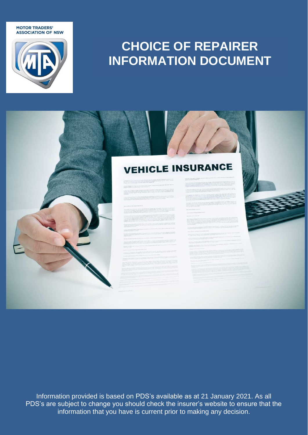**MOTOR TRADERS' ASSOCIATION OF NSW** 



# **CHOICE OF REPAIRER INFORMATION DOCUMENT**

## **VEHICLE INSURANCE**

Information provided is based on PDS's available as at 21 January 2021. As all PDS's are subject to change you should check the insurer's website to ensure that the information that you have is current prior to making any decision.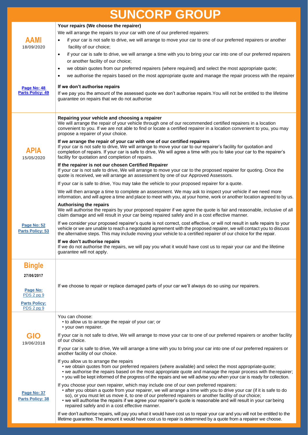| <b>SUNCORP GROUP</b>                                 |                                                                                                                                                                                                                                                                                                                                                                                                                                                                                                                                                                                                                                                      |  |
|------------------------------------------------------|------------------------------------------------------------------------------------------------------------------------------------------------------------------------------------------------------------------------------------------------------------------------------------------------------------------------------------------------------------------------------------------------------------------------------------------------------------------------------------------------------------------------------------------------------------------------------------------------------------------------------------------------------|--|
| AAMI<br>18/09/2020                                   | Your repairs (We choose the repairer)<br>We will arrange the repairs to your car with one of our preferred repairers:<br>if your car is not safe to drive, we will arrange to move your car to one of our preferred repairers or another<br>$\bullet$<br>facility of our choice;<br>if your car is safe to drive, we will arrange a time with you to bring your car into one of our preferred repairers<br>$\bullet$<br>or another facility of our choice;                                                                                                                                                                                           |  |
| Page No: 48<br><b>Parts Policy: 49</b>               | we obtain quotes from our preferred repairers (where required) and select the most appropriate quote;<br>$\bullet$<br>we authorise the repairs based on the most appropriate quote and manage the repair process with the repairer<br>$\bullet$<br>If we don't authorise repairs<br>If we pay you the amount of the assessed quote we don't authorise repairs. You will not be entitled to the lifetime<br>guarantee on repairs that we do not authorise                                                                                                                                                                                             |  |
| <b>APIA</b><br>15/05/2020                            | Repairing your vehicle and choosing a repairer<br>We will arrange the repair of your vehicle through one of our recommended certified repairers in a location<br>convenient to you. If we are not able to find or locate a certified repairer in a location convenient to you, you may<br>propose a repairer of your choice.<br>If we arrange the repair of your car with one of our certified repairers<br>If your car is not safe to drive, We will arrange to move your car to our repairer's facility for quotation and<br>completion of repairs. If your car is safe to drive, We will agree a time with you to take your car to the repairer's |  |
|                                                      | facility for quotation and completion of repairs.<br>If the repairer is not our chosen Certified Repairer<br>If your car is not safe to drive, We will arrange to move your car to the proposed repairer for quoting. Once the<br>quote is received, we will arrange an assessment by one of our Approved Assessors.<br>If your car is safe to drive, You may take the vehicle to your proposed repairer for a quote.                                                                                                                                                                                                                                |  |
|                                                      | We will then arrange a time to complete an assessment. We may ask to inspect your vehicle if we need more<br>information, and will agree a time and place to meet with you, at your home, work or another location agreed to by us.                                                                                                                                                                                                                                                                                                                                                                                                                  |  |
| Page No: 52<br><b>Parts Policy: 53</b>               | <b>Authorising the repairs</b><br>We will authorise the repairs by your proposed repairer if we agree the quote is fair and reasonable, inclusive of all<br>claim damage and will result in your car being repaired safely and in a cost effective manner.                                                                                                                                                                                                                                                                                                                                                                                           |  |
|                                                      | If we consider your proposed repairer's quote is not correct, cost effective, or will not result in safe repairs to your<br>vehicle or we are unable to reach a negotiated agreement with the proposed repairer, we will contact you to discuss<br>the alternative steps. This may include moving your vehicle to a certified repairer of our choice for the repair.                                                                                                                                                                                                                                                                                 |  |
|                                                      | If we don't authorise repairs<br>If we do not authorise the repairs, we will pay you what it would have cost us to repair your car and the lifetime<br>guarantee will not apply.                                                                                                                                                                                                                                                                                                                                                                                                                                                                     |  |
| <b>Bingle</b>                                        |                                                                                                                                                                                                                                                                                                                                                                                                                                                                                                                                                                                                                                                      |  |
| 27/06/2017                                           |                                                                                                                                                                                                                                                                                                                                                                                                                                                                                                                                                                                                                                                      |  |
| Page No:<br>PDS 2 pg 9                               | If we choose to repair or replace damaged parts of your car we'll always do so using our repairers.                                                                                                                                                                                                                                                                                                                                                                                                                                                                                                                                                  |  |
| <b>Parts Policy:</b><br>PDS 2 pg 9                   |                                                                                                                                                                                                                                                                                                                                                                                                                                                                                                                                                                                                                                                      |  |
|                                                      | You can choose:<br>• to allow us to arrange the repair of your car; or<br>• your own repairer.                                                                                                                                                                                                                                                                                                                                                                                                                                                                                                                                                       |  |
| GIO                                                  | If your car is not safe to drive, We will arrange to move your car to one of our preferred repairers or another facility<br>of our choice.                                                                                                                                                                                                                                                                                                                                                                                                                                                                                                           |  |
| 19/06/2018<br>Page No: 37<br><b>Parts Policy: 38</b> | If your car is safe to drive, We will arrange a time with you to bring your car into one of our preferred repairers or<br>another facility of our choice.                                                                                                                                                                                                                                                                                                                                                                                                                                                                                            |  |
|                                                      | If you allow us to arrange the repairs<br>• we obtain quotes from our preferred repairers (where available) and select the most appropriate quote;<br>• we authorise the repairs based on the most appropriate quote and manage the repair process with the repairer;<br>• you will be kept informed of the progress of the repairs and we will advise you when your car is ready for collection.                                                                                                                                                                                                                                                    |  |
|                                                      | If you choose your own repairer, which may include one of our own preferred repairers:<br>• after you obtain a quote from your repairer, we will arrange a time with you to drive your car (if it is safe to do<br>so), or you must let us move it, to one of our preferred repairers or another facility of our choice;<br>• we will authorise the repairs if we agree your repairer's quote is reasonable and will result in your carbeing<br>repaired safely and in a cost effective manner.                                                                                                                                                      |  |
|                                                      | If we don't authorise repairs, will pay you what it would have cost us to repair your car and you will not be entitled to the<br>lifetime guarantee. The amount it would have cost us to repair is determined by a quote from a repairer we choose.                                                                                                                                                                                                                                                                                                                                                                                                  |  |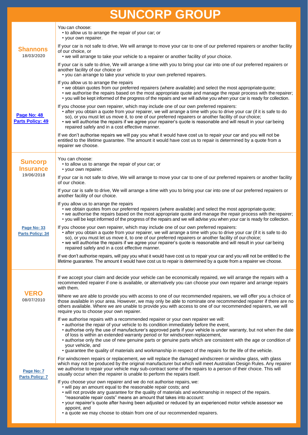| <b>SUNCORP GROUP</b>                          |                                                                                                                                                                                                                                                                                                                                                                                                                                                                                                                                                                                                                                          |
|-----------------------------------------------|------------------------------------------------------------------------------------------------------------------------------------------------------------------------------------------------------------------------------------------------------------------------------------------------------------------------------------------------------------------------------------------------------------------------------------------------------------------------------------------------------------------------------------------------------------------------------------------------------------------------------------------|
| <b>Shannons</b><br>18/03/2020                 | You can choose:<br>• to allow us to arrange the repair of your car; or<br>• your own repairer.                                                                                                                                                                                                                                                                                                                                                                                                                                                                                                                                           |
|                                               | If your car is not safe to drive, We will arrange to move your car to one of our preferred repairers or another facility<br>of our choice, or<br>• we will arrange to take your vehicle to a repairer or another facility of your choice.                                                                                                                                                                                                                                                                                                                                                                                                |
|                                               | If your car is safe to drive, We will arrange a time with you to bring your car into one of our preferred repairers or<br>another facility of our choice or<br>• you can arrange to take your vehicle to your own preferred repairers.                                                                                                                                                                                                                                                                                                                                                                                                   |
| Page No: 48<br><b>Parts Policy: 49</b>        | If you allow us to arrange the repairs<br>• we obtain quotes from our preferred repairers (where available) and select the most appropriate quote;<br>• we authorise the repairs based on the most appropriate quote and manage the repair process with the repairer;<br>• you will be kept informed of the progress of the repairs and we will advise you when your car is ready for collection.                                                                                                                                                                                                                                        |
|                                               | If you choose your own repairer, which may include one of our own preferred repairers:<br>• after you obtain a quote from your repairer, we will arrange a time with you to drive your car (if it is safe to do<br>so), or you must let us move it, to one of our preferred repairers or another facility of our choice;<br>• we will authorise the repairs if we agree your repairer's quote is reasonable and will result in your carbeing<br>repaired safely and in a cost effective manner.                                                                                                                                          |
|                                               | If we don't authorise repairs we will pay you what it would have cost us to repair your car and you will not be<br>entitled to the lifetime guarantee. The amount it would have cost us to repair is determined by a quote from a<br>repairer we choose.                                                                                                                                                                                                                                                                                                                                                                                 |
| <b>Suncorp</b><br><b>Insurance</b>            | You can choose:<br>• to allow us to arrange the repair of your car; or<br>• your own repairer.                                                                                                                                                                                                                                                                                                                                                                                                                                                                                                                                           |
| 19/06/2018                                    | If your car is not safe to drive, We will arrange to move your car to one of our preferred repairers or another facility<br>of our choice.                                                                                                                                                                                                                                                                                                                                                                                                                                                                                               |
|                                               | If your car is safe to drive, We will arrange a time with you to bring your car into one of our preferred repairers or<br>another facility of our choice.                                                                                                                                                                                                                                                                                                                                                                                                                                                                                |
|                                               | If you allow us to arrange the repairs<br>• we obtain quotes from our preferred repairers (where available) and select the most appropriate quote;<br>• we authorise the repairs based on the most appropriate quote and manage the repair process with the repairer;<br>• you will be kept informed of the progress of the repairs and we will advise you when your car is ready for collection.                                                                                                                                                                                                                                        |
| <b>Page No: 33</b><br><b>Parts Policy: 34</b> | If you choose your own repairer, which may include one of our own preferred repairers:<br>• after you obtain a quote from your repairer, we will arrange a time with you to drive your car (if it is safe to do<br>so), or you must let us move it, to one of our preferred repairers or another facility of our choice;<br>• we will authorise the repairs if we agree your repairer's quote is reasonable and will result in your carbeing<br>repaired safely and in a cost effective manner.                                                                                                                                          |
|                                               | If we don't authorise repairs, will pay you what it would have cost us to repair your car and you will not be entitled to the<br>lifetime guarantee. The amount it would have cost us to repair is determined by a quote from a repairer we choose.                                                                                                                                                                                                                                                                                                                                                                                      |
|                                               | If we accept your claim and decide your vehicle can be economically repaired, we will arrange the repairs with a<br>recommended repairer if one is available, or alternatively you can choose your own repairer and arrange repairs<br>with them.                                                                                                                                                                                                                                                                                                                                                                                        |
| <b>VERO</b><br>08/07/2010                     | Where we are able to provide you with access to one of our recommended repairers, we will offer you a choice of<br>those available in your area. However, we may only be able to nominate one recommended repairer if there are no<br>others available. Where we are unable to provide you with access to one of our recommended repairers, we will<br>require you to choose your own repairer.                                                                                                                                                                                                                                          |
|                                               | If we authorise repairs with a recommended repairer or your own repairer we will:<br>• authorise the repair of your vehicle to its condition immediately before the event,<br>• authorise only the use of manufacturer's approved parts if your vehicle is under warranty, but not when the date<br>of loss is within an extended warranty period or for windscreen replacement,<br>• authorise only the use of new genuine parts or genuine parts which are consistent with the age or condition of<br>your vehicle, and<br>• guarantee the quality of materials and workmanship in respect of the repairs for the life of the vehicle. |
| Page No: 7                                    | For windscreen repairs or replacement, we will replace the damaged windscreen or window glass, with glass<br>which may not be produced by the original manufacturer but which will meet Australian Design Rules. Any repairer<br>we authorise to repair your vehicle may sub-contract some of the repairs to a person of their choice. This will<br>usually occur when the repairer is unable to perform the repairs itself.                                                                                                                                                                                                             |
| <b>Parts Policy: 7</b>                        | If you choose your own repairer and we do not authorise repairs, we:<br>• will pay an amount equal to the reasonable repair costs; and<br>. will not provide any guarantee for the quality of materials and workmanship in respect of the repairs.<br>"reasonable repair costs" means an amount that takes into account:<br>• your repairer's quote after having been adjusted or reduced by an experienced motor vehicle assessor we<br>appoint, and                                                                                                                                                                                    |
|                                               | • a quote we may choose to obtain from one of our recommended repairers.                                                                                                                                                                                                                                                                                                                                                                                                                                                                                                                                                                 |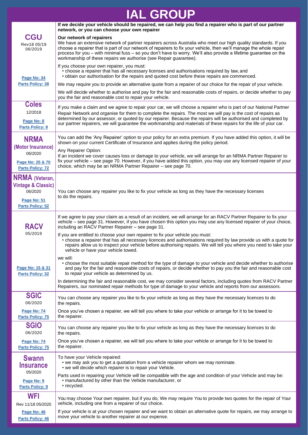# **IAL GROUP**

|                                                                                                             | If we decide your vehicle should be repaired, we can help you find a repairer who is part of our partner<br>network, or you can choose your own repairer                                                                                                                                                                                                                                                                                                                  |
|-------------------------------------------------------------------------------------------------------------|---------------------------------------------------------------------------------------------------------------------------------------------------------------------------------------------------------------------------------------------------------------------------------------------------------------------------------------------------------------------------------------------------------------------------------------------------------------------------|
| <b>CGU</b><br>Rev18 05/19<br>06/2019                                                                        | Our network of repairers<br>We have an extensive network of partner repairers across Australia who meet our high quality standards. If you<br>choose a repairer that is part of our network of repairers to fix your vehicle, then we'll manage the whole repair<br>process for you – with minimal fuss – so you don't have to worry. We'll also provide a lifetime guarantee on the<br>workmanship of these repairs we authorise (see Repair guarantee).                 |
| Page No: 34<br><b>Parts Policy: 38</b>                                                                      | If you choose your own repairer, you must:<br>• choose a repairer that has all necessary licenses and authorisations required by law, and<br>• obtain our authorisation for the repairs and quoted cost before these repairs are commenced.                                                                                                                                                                                                                               |
|                                                                                                             | We may require you to provide an alternative quote from a repairer of our choice for the repair of your vehicle.<br>We will decide whether to authorise and pay for the fair and reasonable costs of repairs, or decide whether to pay<br>you the fair and reasonable cost to repair your vehicle.                                                                                                                                                                        |
| <b>Coles</b><br>12/2018<br>Page No: 8<br><b>Parts Policy: 8</b>                                             | If you make a claim and we agree to repair your car, we will choose a repairer who is part of our National Partner<br>Repair Network and organise for them to complete the repairs. The most we will pay is the cost of repairs as<br>determined by our assessor, or quoted by our repairer. Because the repairs will be authorised and completed by<br>our partner repairers, we will guarantee the workmanship and materials of these repairs for the life of your car. |
| <b>NRMA</b><br>(Motor Insurance)                                                                            | You can add the 'Any Repairer' option to your policy for an extra premium. If you have added this option, it will be<br>shown on your current Certificate of Insurance and applies during the policy period.<br>Any Repairer Option:                                                                                                                                                                                                                                      |
| 06/2020<br>Page No: 25 & 70<br><b>Parts Policy: 72</b>                                                      | If an incident we cover causes loss or damage to your vehicle, we will arrange for an NRMA Partner Repairer to<br>fix your vehicle – see page 70. However, if you have added this option, you may use any licensed repairer of your<br>choice, which may be an NRMA Partner Repairer - see page 70.                                                                                                                                                                       |
| <b>NRMA</b> (Veteran,<br><b>Vintage &amp; Classic)</b><br>06/2020<br>Page No: 51<br><b>Parts Policy: 52</b> | You can choose any repairer you like to fix your vehicle as long as they have the necessary licenses<br>to do the repairs.                                                                                                                                                                                                                                                                                                                                                |
| <b>RACV</b><br>05/2019                                                                                      | If we agree to pay your claim as a result of an incident, we will arrange for an RACV Partner Repairer to fix your<br>vehicle - see page 31. However, if you have chosen this option you may use any licensed repairer of your choice,<br>including an RACV Partner Repairer - see page 31.                                                                                                                                                                               |
|                                                                                                             | If you are entitled to choose your own repairer to fix your vehicle you must:<br>• choose a repairer that has all necessary licences and authorisations required by law provide us with a quote for<br>repairs allow us to inspect your vehicle before authorising repairs. We will tell you where you need to take your<br>vehicle or have your vehicle towed.                                                                                                           |
| Page No: 15 & 31<br><b>Parts Policy: 32</b>                                                                 | we will:<br>• choose the most suitable repair method for the type of damage to your vehicle and decide whether to authorise<br>and pay for the fair and reasonable costs of repairs, or decide whether to pay you the fair and reasonable cost<br>to repair your vehicle as determined by us.                                                                                                                                                                             |
|                                                                                                             | In determining the fair and reasonable cost, we may consider several factors, including quotes from RACV Partner<br>Repairers, our nominated repair methods for type of damage to your vehicle and reports from our assessors.                                                                                                                                                                                                                                            |
| <b>SGIC</b><br>06/2020                                                                                      | You can choose any repairer you like to fix your vehicle as long as they have the necessary licences to do<br>the repairs.                                                                                                                                                                                                                                                                                                                                                |
| Page No: 74<br><b>Parts Policy: 75</b>                                                                      | Once you've chosen a repairer, we will tell you where to take your vehicle or arrange for it to be towed to<br>the repairer.                                                                                                                                                                                                                                                                                                                                              |
| <b>SGIO</b><br>06/2020                                                                                      | You can choose any repairer you like to fix your vehicle as long as they have the necessary licences to do<br>the repairs.                                                                                                                                                                                                                                                                                                                                                |
| Page No: 74<br><b>Parts Policy: 75</b>                                                                      | Once you've chosen a repairer, we will tell you where to take your vehicle or arrange for it to be towed to<br>the repairer.                                                                                                                                                                                                                                                                                                                                              |
| <b>Swann</b><br><b>Insurance</b><br>05/2020                                                                 | To have your Vehicle repaired:<br>• we may ask you to get a quotation from a vehicle repairer whom we may nominate.<br>• we will decide which repairer is to repair your Vehicle.                                                                                                                                                                                                                                                                                         |
| Page No: 9<br><b>Parts Policy: 9</b>                                                                        | Parts used in repairing your Vehicle will be compatible with the age and condition of your Vehicle and may be:<br>· manufactured by other than the Vehicle manufacturer, or<br>• recycled.                                                                                                                                                                                                                                                                                |
| WFI<br>Rev 11/18 05/2020                                                                                    | You may choose Your own repairer, but if you do, We may require You to provide two quotes for the repair of Your<br>vehicle, including one from a repairer of our choice.                                                                                                                                                                                                                                                                                                 |
| Page No: 46<br><b>Parts Policy: 46</b>                                                                      | If your vehicle is at your chosen repairer and we want to obtain an alternative quote for repairs, we may arrange to<br>move your vehicle to another repairer at our expense.                                                                                                                                                                                                                                                                                             |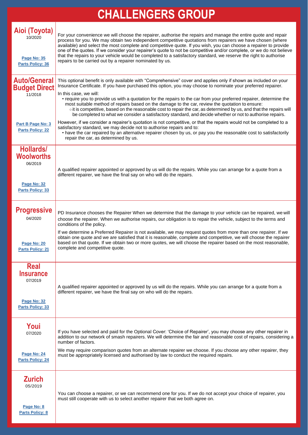# **CHALLENGERS GROUP**

| Aioi (Toyota)<br>10/2020<br>Page No: 35<br><b>Parts Policy: 36</b>                   | For your convenience we will choose the repairer, authorise the repairs and manage the entire quote and repair<br>process for you. We may obtain two independent competitive quotations from repairers we have chosen (where<br>available) and select the most complete and competitive quote. If you wish, you can choose a repairer to provide<br>one of the quotes. If we consider your repairer's quote to not be competitive and/or complete, or we do not believe<br>that the repairs to your vehicle would be completed to a satisfactory standard, we reserve the right to authorise<br>repairs to be carried out by a repairer nominated by us.                                                                  |
|--------------------------------------------------------------------------------------|---------------------------------------------------------------------------------------------------------------------------------------------------------------------------------------------------------------------------------------------------------------------------------------------------------------------------------------------------------------------------------------------------------------------------------------------------------------------------------------------------------------------------------------------------------------------------------------------------------------------------------------------------------------------------------------------------------------------------|
| <b>Auto/General</b><br><b>Budget Direct</b><br>11/2018                               | This optional benefit is only available with "Comprehensive" cover and applies only if shown as included on your<br>Insurance Certificate. If you have purchased this option, you may choose to nominate your preferred repairer.<br>In this case, we will:<br>• require you to provide us with a quotation for the repairs to the car from your preferred repairer, determine the<br>most suitable method of repairs based on the damage to the car, review the quotation to ensure:<br>o it is competitive, based on the reasonable cost to repair the car, as determined by us, and that the repairs will<br>be completed to what we consider a satisfactory standard, and decide whether or not to authorise repairs. |
| <b>Part B Page No: 3</b><br><b>Parts Policy: 22</b>                                  | However, if we consider a repairer's quotation is not competitive, or that the repairs would not be completed to a<br>satisfactory standard, we may decide not to authorise repairs and to:<br>• have the car repaired by an alternative repairer chosen by us, or pay you the reasonable cost to satisfactorily<br>repair the car, as determined by us.                                                                                                                                                                                                                                                                                                                                                                  |
| Hollards/<br><b>Woolworths</b><br>06/2019<br>Page No: 32<br><b>Parts Policy: 33</b>  | A qualified repairer appointed or approved by us will do the repairs. While you can arrange for a quote from a<br>different repairer, we have the final say on who will do the repairs.                                                                                                                                                                                                                                                                                                                                                                                                                                                                                                                                   |
| <b>Progressive</b><br>04/2020<br>Page No: 20<br><b>Parts Policy: 21</b>              | PD Insurance chooses the Repairer When we determine that the damage to your vehicle can be repaired, we will<br>choose the repairer. When we authorise repairs, our obligation is to repair the vehicle, subject to the terms and<br>conditions of the policy.<br>If we determine a Preferred Repairer is not available, we may request quotes from more than one repairer. If we<br>obtain one quote and we are satisfied that it is reasonable, complete and competitive, we will choose the repairer<br>based on that quote. If we obtain two or more quotes, we will choose the repairer based on the most reasonable,<br>complete and competitive quote.                                                             |
| <b>Real</b><br><b>Insurance</b><br>07/2019<br>Page No: 32<br><b>Parts Policy: 33</b> | A qualified repairer appointed or approved by us will do the repairs. While you can arrange for a quote from a<br>different repairer, we have the final say on who will do the repairs.                                                                                                                                                                                                                                                                                                                                                                                                                                                                                                                                   |
| Youi<br>07/2020<br>Page No: 24<br><b>Parts Policy: 24</b>                            | If you have selected and paid for the Optional Cover: 'Choice of Repairer', you may choose any other repairer in<br>addition to our network of smash repairers. We will determine the fair and reasonable cost of repairs, considering a<br>number of factors.<br>We may require comparison quotes from an alternate repairer we choose. If you choose any other repairer, they<br>must be appropriately licensed and authorised by law to conduct the required repairs.                                                                                                                                                                                                                                                  |
| <b>Zurich</b><br>05/2019<br>Page No: 8<br><b>Parts Policy: 8</b>                     | You can choose a repairer, or we can recommend one for you. If we do not accept your choice of repairer, you<br>must still cooperate with us to select another repairer that we both agree on.                                                                                                                                                                                                                                                                                                                                                                                                                                                                                                                            |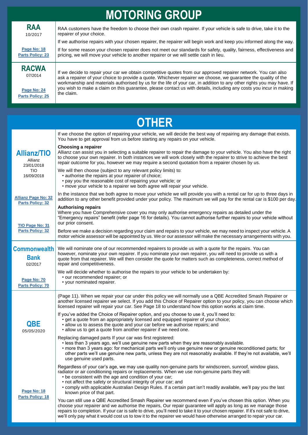| <b>MOTORING GROUP</b>                                                   |                                                                                                                                                                                                                                                                                                                                                                                                                                                                                                |  |  |
|-------------------------------------------------------------------------|------------------------------------------------------------------------------------------------------------------------------------------------------------------------------------------------------------------------------------------------------------------------------------------------------------------------------------------------------------------------------------------------------------------------------------------------------------------------------------------------|--|--|
| <b>RAA</b><br>10/2017                                                   | RAA customers have the freedom to choose their own crash repairer. If your vehicle is safe to drive, take it to the<br>repairer of your choice.                                                                                                                                                                                                                                                                                                                                                |  |  |
|                                                                         | If we authorise repairs with your chosen repairer, the repairer will begin work and keep you informed along the way.                                                                                                                                                                                                                                                                                                                                                                           |  |  |
| Page No: 18<br><b>Parts Policy: 23</b>                                  | If for some reason your chosen repairer does not meet our standards for safety, quality, fairness, effectiveness and<br>pricing, we will move your vehicle to another repairer or we will settle cash in lieu.                                                                                                                                                                                                                                                                                 |  |  |
| <b>RACWA</b><br>07/2014<br>Page No: 24                                  | If we decide to repair your car we obtain competitive quotes from our approved repairer network. You can also<br>ask a repairer of your choice to provide a quote. Whichever repairer we choose, we guarantee the quality of the<br>workmanship and materials authorised by us for the life of your car, in addition to any other rights you may have. If<br>you wish to make a claim on this guarantee, please contact us with details, including any costs you incur in making<br>the claim. |  |  |
| <b>Parts Policy: 25</b>                                                 |                                                                                                                                                                                                                                                                                                                                                                                                                                                                                                |  |  |
|                                                                         |                                                                                                                                                                                                                                                                                                                                                                                                                                                                                                |  |  |
|                                                                         |                                                                                                                                                                                                                                                                                                                                                                                                                                                                                                |  |  |
|                                                                         | <b>OTHER</b>                                                                                                                                                                                                                                                                                                                                                                                                                                                                                   |  |  |
|                                                                         | If we choose the option of repairing your vehicle, we will decide the best way of repairing any damage that exists.<br>You have to get approval from us before starting any repairs on your vehicle.                                                                                                                                                                                                                                                                                           |  |  |
| <b>Allianz/TIO</b><br>Allianz<br>23/01/2018<br><b>TIO</b><br>16/09/2018 | Choosing a repairer<br>Allianz can assist you in selecting a suitable repairer to repair the damage to your vehicle. You also have the right<br>to choose your own repairer. In both instances we will work closely with the repairer to strive to achieve the best<br>repair outcome for you, however we may require a second quotation from a repairer chosen by us.                                                                                                                         |  |  |
|                                                                         | We will then choose (subject to any relevant policy limits) to:<br>• authorise the repairs at your repairer of choice;<br>• pay you the reasonable cost of repairing your vehicle; or<br>• move your vehicle to a repairer we both agree will repair your vehicle.                                                                                                                                                                                                                             |  |  |
| <b>Allianz Page No: 32</b><br><b>Parts Policy: 32</b>                   | In the instance that we both agree to move your vehicle we will provide you with a rental car for up to three days in<br>addition to any other benefit provided under your policy. The maximum we will pay for the rental car is \$100 per day.                                                                                                                                                                                                                                                |  |  |
| TIO Page No: 31<br><b>Parts Policy: 32</b>                              | <b>Authorising repairs</b><br>Where you have Comprehensive cover you may only authorise emergency repairs as detailed under the<br>"Emergency repairs" benefit (refer page 16 for details). You cannot authorise further repairs to your vehicle without<br>our prior consent.                                                                                                                                                                                                                 |  |  |
|                                                                         | Before we make a decision regarding your claim and repairs to your vehicle, we may need to inspect your vehicle. A<br>motor vehicle assessor will be appointed by us. We or our assessor will make the necessary arrangements with you.                                                                                                                                                                                                                                                        |  |  |

**Commonwealth Bank** 02/2017 We will nominate one of our recommended repairers to provide us with a quote for the repairs. You can however, nominate your own repairer. If you nominate your own repairer, you will need to provide us with a quote from that repairer. We will then consider the quote for matters such as completeness, correct method of repair and competitiveness.

**[Page No: 70](https://www.commbank.com.au/content/dam/commbank/personal/apply-online/download-printed-forms/comminsure-car-insurance-pds.pdf) [Parts Policy: 70](https://www.commbank.com.au/content/dam/commbank/personal/apply-online/download-printed-forms/comminsure-car-insurance-pds.pdf)** We will decide whether to authorise the repairs to your vehicle to be undertaken by: • our recommended repairer; or • your nominated repairer.

> (Page 11). When we repair your car under this policy we will normally use a QBE Accredited Smash Repairer or another licensed repairer we select. If you add this Choice of Repairer option to your policy, you can choose which licensed repairer will repair your car. See Page 18 to understand how this option works at claim time.

If you've added the Choice of Repairer option, and you choose to use it, you'll need to:

- get a quote from an appropriately licensed and equipped repairer of your choice;
- allow us to assess the quote and your car before we authorise repairs; and
- allow us to get a quote from another repairer if we need one.

Replacing damaged parts If your car was first registered:

**QBE** 05/05/2020

**[Page No:](http://intermediary.qbe.com.au/content/idcplg?IdcService=GET_FILE&dDocName=PRODCT062206&RevisionSelectionMethod=Latest&Rendition=primary) 18 [Parts Policy: 18](http://intermediary.qbe.com.au/content/idcplg?IdcService=GET_FILE&dDocName=PRODCT062206&RevisionSelectionMethod=Latest&Rendition=primary)**

- less than 3 years ago, we'll use genuine new parts when they are reasonably available.
- more than 3 years ago: for mechanical parts we'll only use genuine new or genuine reconditioned parts; for other parts we'll use genuine new parts, unless they are not reasonably available. If they're not available, we'll use genuine used parts.

Regardless of your car's age, we may use quality non-genuine parts for windscreen, sunroof, window glass, radiator or air conditioning repairs or replacements. When we use non-genuine parts they will:

- be consistent with the age and condition of your car;
- not affect the safety or structural integrity of your car; and
- comply with applicable Australian Design Rules. If a certain part isn't readily available, we'll pay you the last known price of that part.

You can still use a QBE Accredited Smash Repairer we recommend even if you've chosen this option. When you choose your repairer and we authorise the repairs, Our repair guarantee will apply as long as we manage those repairs to completion. If your car is safe to drive, you'll need to take it to your chosen repairer. If it's not safe to drive, we'll only pay what it would cost us to tow it to the repairer we would have otherwise arranged to repair your car.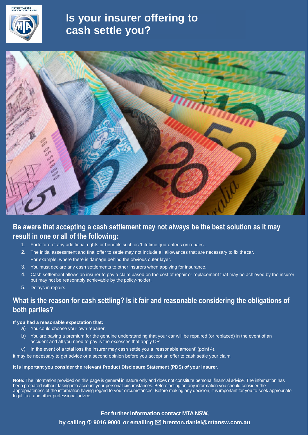

## **Is your insurer offering to cash settle you?**



## **Be aware that accepting a cash settlement may not always be the best solution as it may result in one or all of the following:**

- 1. Forfeiture of any additional rights or benefits such as 'Lifetime guarantees on repairs'.
- 2. The initial assessment and final offer to settle may not include all allowances that are necessary to fix thecar. For example, where there is damage behind the obvious outer layer.
- 3. You must declare any cash settlements to other insurers when applying for insurance.
- 4. Cash settlement allows an insurer to pay a claim based on the cost of repair or replacement that may be achieved by the insurer but may not be reasonably achievable by the policy-holder.
- 5. Delays in repairs.

## **What is the reason for cash settling? Is it fair and reasonable considering the obligations of both parties?**

### **If you had a reasonable expectation that:**

- a) You could choose your own repairer,
- b) You are paying a premium for the genuine understanding that your car will be repaired (or replaced) in the event of an accident and all you need to pay is the excesses that apply OR
- c) In the event of a total loss the insurer may cash settle you a 'reasonable amount' (point 4),

it may be necessary to get advice or a second opinion before you accept an offer to cash settle your claim.

#### **It is important you consider the relevant Product Disclosure Statement (PDS) of your insurer.**

**Note:** The information provided on this page is general in nature only and does not constitute personal financial advice. The information has been prepared without taking into account your personal circumstances. Before acting on any information you should consider the appropriateness of the information having regard to your circumstances. Before making any decision, it is important for you to seek appropriate legal, tax, and other professional advice.

> **For further information contact MTA NSW, by calling 9016 9000 or emailing brenton.daniel@mtansw.com.au**